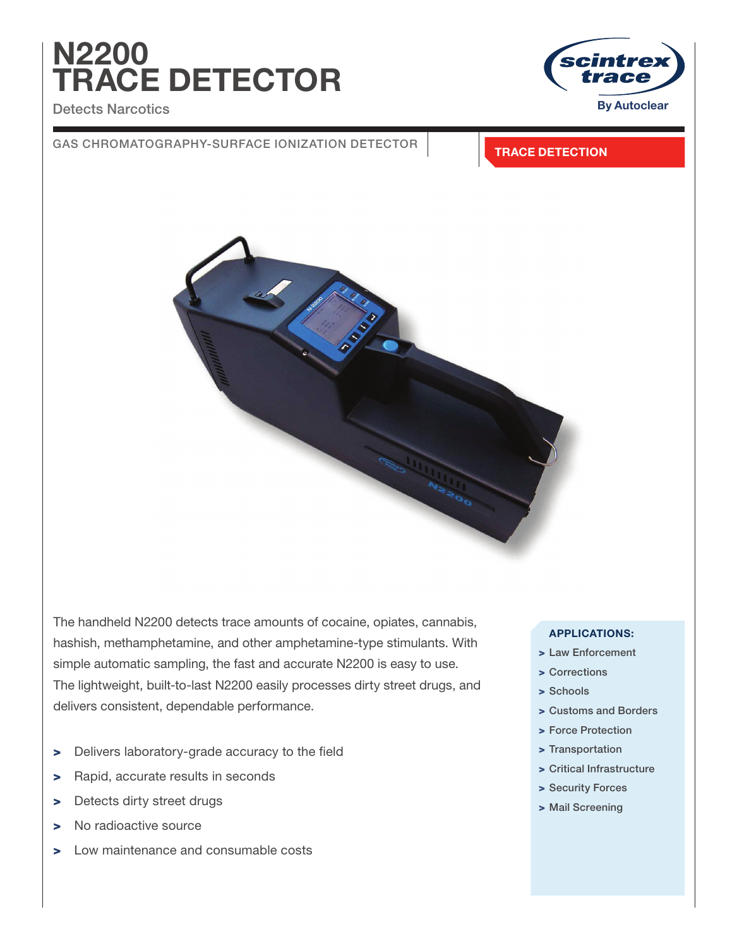# N2200 TRACE DETECTOR

### Detects Narcotics



### GAS CHROMATOGRAPHY-SURFACE IONIZATION DETECTOR **TRACE DETECTION**



The handheld N2200 detects trace amounts of cocaine, opiates, cannabis, hashish, methamphetamine, and other amphetamine-type stimulants. With simple automatic sampling, the fast and accurate N2200 is easy to use. The lightweight, built-to-last N2200 easily processes dirty street drugs, and delivers consistent, dependable performance.

- > Delivers laboratory-grade accuracy to the field
- > Rapid, accurate results in seconds
- > Detects dirty street drugs
- > No radioactive source
- > Low maintenance and consumable costs

### APPLICATIONS:

- > Law Enforcement
- > Corrections
- > Schools
- > Customs and Borders
- > Force Protection
- > Transportation
- > Critical Infrastructure
- > Security Forces
- > Mail Screening